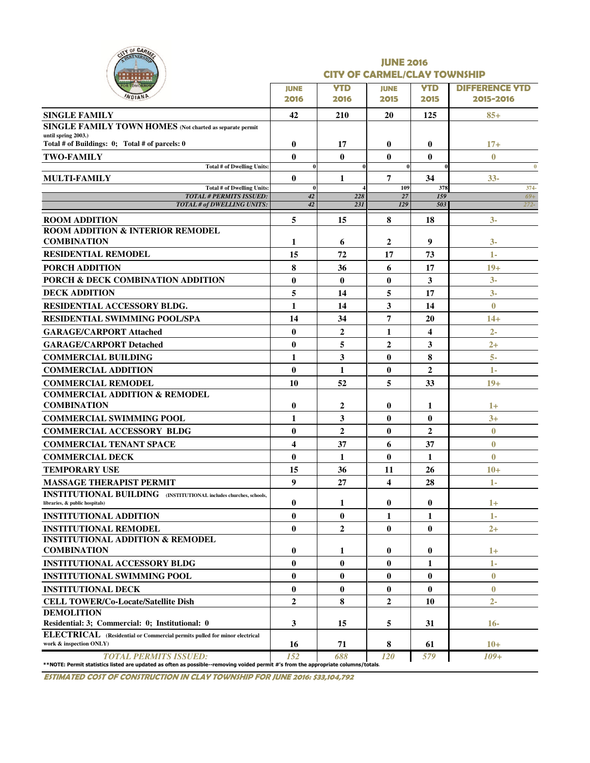| ITY OF CARM<br><b>RTNERS</b>                                                                                                                                       |                     | <b>JUNE 2016</b><br><b>CITY OF CARMEL/CLAY TOWNSHIP</b> |                      |                         |                                    |  |  |  |  |  |  |
|--------------------------------------------------------------------------------------------------------------------------------------------------------------------|---------------------|---------------------------------------------------------|----------------------|-------------------------|------------------------------------|--|--|--|--|--|--|
|                                                                                                                                                                    | <b>JUNE</b><br>2016 | <b>YTD</b><br>2016                                      | <b>JUNE</b><br>2015  | <b>YTD</b><br>2015      | <b>DIFFERENCE YTD</b><br>2015-2016 |  |  |  |  |  |  |
| <b>SINGLE FAMILY</b>                                                                                                                                               | 42                  | 210                                                     | 20                   | 125                     | $85+$                              |  |  |  |  |  |  |
| SINGLE FAMILY TOWN HOMES (Not charted as separate permit                                                                                                           |                     |                                                         |                      |                         |                                    |  |  |  |  |  |  |
| until spring 2003.)                                                                                                                                                |                     |                                                         |                      |                         |                                    |  |  |  |  |  |  |
| Total # of Buildings: 0; Total # of parcels: 0                                                                                                                     | $\bf{0}$            | 17                                                      | $\bf{0}$             | $\bf{0}$                | $17+$                              |  |  |  |  |  |  |
| <b>TWO-FAMILY</b><br>Total # of Dwelling Units:                                                                                                                    | $\bf{0}$<br>0       | $\bf{0}$<br>$\mathbf{0}$                                | $\bf{0}$<br>$\bf{0}$ | $\bf{0}$                | $\bf{0}$<br>$\bf{0}$               |  |  |  |  |  |  |
| <b>MULTI-FAMILY</b>                                                                                                                                                | $\bf{0}$            | 1                                                       | 7                    | 34                      | $33 -$                             |  |  |  |  |  |  |
| Total # of Dwelling Units:                                                                                                                                         | 0                   |                                                         | 109                  | 378                     | $374-$                             |  |  |  |  |  |  |
| <b>TOTAL # PERMITS ISSUED:</b><br>TOTAL # of DWELLING UNITS:                                                                                                       | 42<br>42            | 228<br>231                                              | 27<br>129            | 159<br>503              | $69+$<br>$272 -$                   |  |  |  |  |  |  |
|                                                                                                                                                                    |                     |                                                         |                      |                         |                                    |  |  |  |  |  |  |
| <b>ROOM ADDITION</b><br><b>ROOM ADDITION &amp; INTERIOR REMODEL</b><br><b>COMBINATION</b>                                                                          | 5<br>1              | 15<br>6                                                 | 8<br>$\mathbf{2}$    | 18<br>9                 | $3-$<br>$3-$                       |  |  |  |  |  |  |
| <b>RESIDENTIAL REMODEL</b>                                                                                                                                         | 15                  | 72                                                      | 17                   | 73                      | 1-                                 |  |  |  |  |  |  |
|                                                                                                                                                                    |                     |                                                         |                      |                         |                                    |  |  |  |  |  |  |
| <b>PORCH ADDITION</b><br>PORCH & DECK COMBINATION ADDITION                                                                                                         | 8                   | 36                                                      | 6                    | 17                      | $19+$<br>$3-$                      |  |  |  |  |  |  |
|                                                                                                                                                                    | $\bf{0}$            | $\mathbf{0}$                                            | $\mathbf{0}$         | 3                       |                                    |  |  |  |  |  |  |
| <b>DECK ADDITION</b>                                                                                                                                               | 5                   | 14                                                      | 5                    | 17                      | $3-$                               |  |  |  |  |  |  |
| <b>RESIDENTIAL ACCESSORY BLDG.</b>                                                                                                                                 | 1                   | 14                                                      | 3                    | 14                      | $\bf{0}$                           |  |  |  |  |  |  |
| <b>RESIDENTIAL SWIMMING POOL/SPA</b>                                                                                                                               | 14                  | 34                                                      | 7                    | 20                      | $14+$                              |  |  |  |  |  |  |
| <b>GARAGE/CARPORT Attached</b>                                                                                                                                     | $\bf{0}$            | $\overline{2}$                                          | 1                    | $\overline{\mathbf{4}}$ | $2 -$                              |  |  |  |  |  |  |
| <b>GARAGE/CARPORT Detached</b>                                                                                                                                     | $\bf{0}$            | 5                                                       | $\overline{2}$       | 3                       | $2+$                               |  |  |  |  |  |  |
| <b>COMMERCIAL BUILDING</b>                                                                                                                                         | 1                   | 3                                                       | $\bf{0}$             | 8                       | $5-$                               |  |  |  |  |  |  |
| <b>COMMERCIAL ADDITION</b>                                                                                                                                         | $\bf{0}$            | 1                                                       | $\bf{0}$             | $\overline{2}$          | 1-                                 |  |  |  |  |  |  |
| <b>COMMERCIAL REMODEL</b>                                                                                                                                          | 10                  | 52                                                      | 5                    | 33                      | $19+$                              |  |  |  |  |  |  |
| <b>COMMERCIAL ADDITION &amp; REMODEL</b><br><b>COMBINATION</b>                                                                                                     | 0                   | 2                                                       | $\bf{0}$             | 1                       | $1+$                               |  |  |  |  |  |  |
| <b>COMMERCIAL SWIMMING POOL</b>                                                                                                                                    | $\mathbf{1}$        | $\mathbf{3}$                                            | $\bf{0}$             | $\bf{0}$                | $3+$                               |  |  |  |  |  |  |
| <b>COMMERCIAL ACCESSORY BLDG</b>                                                                                                                                   | $\bf{0}$            | $\overline{2}$                                          | $\bf{0}$             | $\overline{2}$          | $\bf{0}$                           |  |  |  |  |  |  |
| <b>COMMERCIAL TENANT SPACE</b>                                                                                                                                     | 4                   | 37                                                      | 6                    | 37                      | $\bf{0}$                           |  |  |  |  |  |  |
| <b>COMMERCIAL DECK</b>                                                                                                                                             | $\bf{0}$            | 1                                                       | $\bf{0}$             | 1                       | $\bf{0}$                           |  |  |  |  |  |  |
| <b>TEMPORARY USE</b>                                                                                                                                               | 15                  | 36                                                      | 11                   | 26                      | $10+$                              |  |  |  |  |  |  |
| <b>MASSAGE THERAPIST PERMIT</b>                                                                                                                                    | 9                   | 27                                                      | 4                    | 28                      | 1-                                 |  |  |  |  |  |  |
| <b>INSTITUTIONAL BUILDING</b> (INSTITUTIONAL includes churches, schools,<br>libraries, & public hospitals)                                                         | 0                   | 1                                                       | $\bf{0}$             | $\bf{0}$                | $1+$                               |  |  |  |  |  |  |
| <b>INSTITUTIONAL ADDITION</b>                                                                                                                                      | $\bf{0}$            | $\bf{0}$                                                | 1                    | 1                       | $1-$                               |  |  |  |  |  |  |
| <b>INSTITUTIONAL REMODEL</b>                                                                                                                                       | $\bf{0}$            | $\mathbf{2}$                                            | $\mathbf{0}$         | $\bf{0}$                | $2+$                               |  |  |  |  |  |  |
| <b>INSTITUTIONAL ADDITION &amp; REMODEL</b><br><b>COMBINATION</b>                                                                                                  | 0                   | 1                                                       | $\bf{0}$             | $\boldsymbol{0}$        | $1+$                               |  |  |  |  |  |  |
| <b>INSTITUTIONAL ACCESSORY BLDG</b>                                                                                                                                | $\bf{0}$            | $\bf{0}$                                                | $\bf{0}$             | 1                       | 1-                                 |  |  |  |  |  |  |
| <b>INSTITUTIONAL SWIMMING POOL</b>                                                                                                                                 | $\bf{0}$            | $\bf{0}$                                                | $\bf{0}$             | $\bf{0}$                | $\bf{0}$                           |  |  |  |  |  |  |
| <b>INSTITUTIONAL DECK</b>                                                                                                                                          | $\bf{0}$            | $\bf{0}$                                                | $\bf{0}$             | $\bf{0}$                | $\bf{0}$                           |  |  |  |  |  |  |
| <b>CELL TOWER/Co-Locate/Satellite Dish</b>                                                                                                                         | $\overline{2}$      | 8                                                       | $\mathbf{2}$         | 10                      | $2 -$                              |  |  |  |  |  |  |
| <b>DEMOLITION</b>                                                                                                                                                  |                     |                                                         |                      |                         |                                    |  |  |  |  |  |  |
| Residential: 3; Commercial: 0; Institutional: 0                                                                                                                    | 3                   | 15                                                      | 5                    | 31                      | $16-$                              |  |  |  |  |  |  |
| <b>ELECTRICAL</b> (Residential or Commercial permits pulled for minor electrical<br>work & inspection ONLY)                                                        | 16                  | 71                                                      | 8                    | 61                      | $10+$                              |  |  |  |  |  |  |
| <b>TOTAL PERMITS ISSUED:</b><br>**NOTE: Permit statistics listed are updated as often as possible--removing voided permit #'s from the appropriate columns/totals. | 152                 | 688                                                     | <i>120</i>           | 579                     | $109+$                             |  |  |  |  |  |  |

ESTIMATED COST OF CONSTRUCTION IN CLAY TOWNSHIP FOR JUNE 2016: \$33,104,792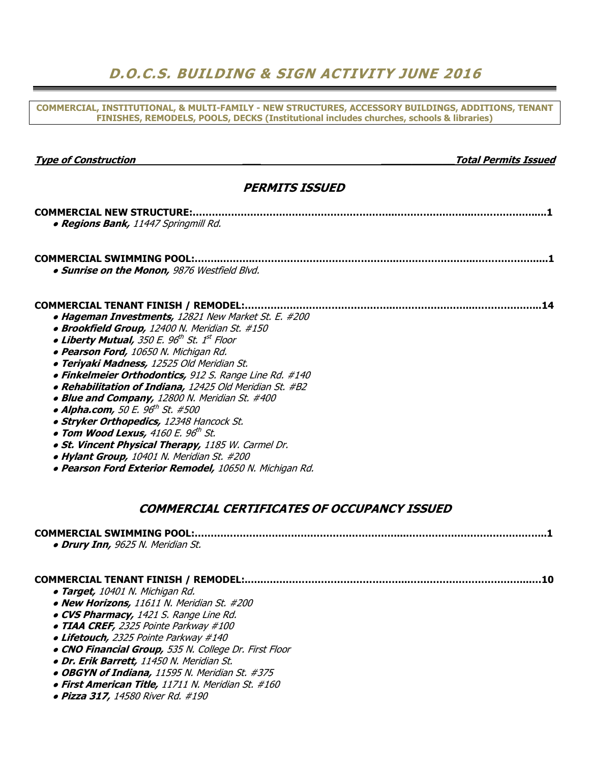### D.O.C.S. BUILDING & SIGN ACTIVITY JUNE 2016

COMMERCIAL, INSTITUTIONAL, & MULTI-FAMILY - NEW STRUCTURES, ACCESSORY BUILDINGS, ADDITIONS, TENANT FINISHES, REMODELS, POOLS, DECKS (Institutional includes churches, schools & libraries)

| <b>Type of Construction</b>                                                                                                                                                                                                                                                                                                                                                                                                                                                                                                                                                                                                                                                                                                                       | <b>Total Permits Issued</b> |
|---------------------------------------------------------------------------------------------------------------------------------------------------------------------------------------------------------------------------------------------------------------------------------------------------------------------------------------------------------------------------------------------------------------------------------------------------------------------------------------------------------------------------------------------------------------------------------------------------------------------------------------------------------------------------------------------------------------------------------------------------|-----------------------------|
| <b>PERMITS ISSUED</b>                                                                                                                                                                                                                                                                                                                                                                                                                                                                                                                                                                                                                                                                                                                             |                             |
|                                                                                                                                                                                                                                                                                                                                                                                                                                                                                                                                                                                                                                                                                                                                                   |                             |
| · Regions Bank, 11447 Springmill Rd.                                                                                                                                                                                                                                                                                                                                                                                                                                                                                                                                                                                                                                                                                                              |                             |
| · Sunrise on the Monon, 9876 Westfield Blvd.                                                                                                                                                                                                                                                                                                                                                                                                                                                                                                                                                                                                                                                                                                      |                             |
| • Hageman Investments, 12821 New Market St. E. #200<br>· Brookfield Group, 12400 N. Meridian St. #150<br>• Liberty Mutual, 350 E. 96 <sup>th</sup> St. 1 <sup>st</sup> Floor<br>· Pearson Ford, 10650 N. Michigan Rd.<br>· Teriyaki Madness, 12525 Old Meridian St.<br>· Finkelmeier Orthodontics, 912 S. Range Line Rd. #140<br>· Rehabilitation of Indiana, 12425 Old Meridian St. #B2<br>• Blue and Company, 12800 N. Meridian St. #400<br>• Alpha.com, 50 E. 96 <sup>th</sup> St. #500<br>· Stryker Orthopedics, 12348 Hancock St.<br>• Tom Wood Lexus, $4160$ E. $96^{th}$ St.<br>. St. Vincent Physical Therapy, 1185 W. Carmel Dr.<br>• Hylant Group, 10401 N. Meridian St. #200<br>· Pearson Ford Exterior Remodel, 10650 N. Michigan Rd. |                             |
| <b>COMMERCIAL CERTIFICATES OF OCCUPANCY ISSUED</b>                                                                                                                                                                                                                                                                                                                                                                                                                                                                                                                                                                                                                                                                                                |                             |
| <b>COMMERCIAL SWIMMING POOL:</b><br>· Drury Inn, 9625 N. Meridian St.                                                                                                                                                                                                                                                                                                                                                                                                                                                                                                                                                                                                                                                                             |                             |
| · Target, 10401 N. Michigan Rd.<br>• New Horizons, 11611 N. Meridian St. #200<br>• CVS Pharmacy, 1421 S. Range Line Rd.<br>• TIAA CREF, 2325 Pointe Parkway #100<br>• Lifetouch, 2325 Pointe Parkway #140                                                                                                                                                                                                                                                                                                                                                                                                                                                                                                                                         |                             |
| • CNO Financial Group, 535 N. College Dr. First Floor                                                                                                                                                                                                                                                                                                                                                                                                                                                                                                                                                                                                                                                                                             |                             |

- Dr. Erik Barrett, 11450 N. Meridian St.
- OBGYN of Indiana, 11595 N. Meridian St. #375
- First American Title, 11711 N. Meridian St. #160
- Pizza 317, 14580 River Rd. #190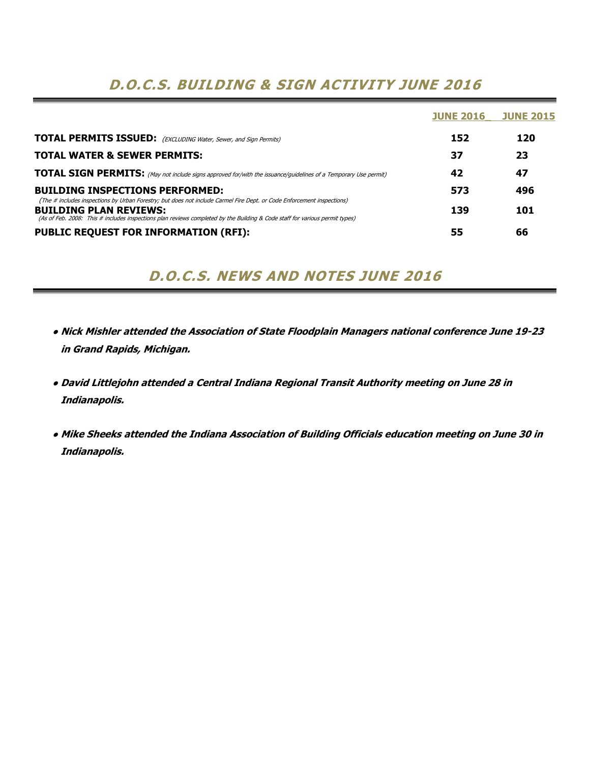### D.O.C.S. BUILDING & SIGN ACTIVITY JUNE 2016

|                                                                                                                                                                  | <b>JUNE 2016</b> | <b>JUNE 2015</b> |
|------------------------------------------------------------------------------------------------------------------------------------------------------------------|------------------|------------------|
| <b>TOTAL PERMITS ISSUED:</b> (EXCLUDING Water, Sewer, and Sign Permits)                                                                                          | 152              | 120              |
| <b>TOTAL WATER &amp; SEWER PERMITS:</b>                                                                                                                          | 37               | 23               |
| <b>TOTAL SIGN PERMITS:</b> (May not include signs approved for/with the issuance/guidelines of a Temporary Use permit)                                           | 42               | 47               |
| <b>BUILDING INSPECTIONS PERFORMED:</b><br>(The # includes inspections by Urban Forestry; but does not include Carmel Fire Dept. or Code Enforcement inspections) | 573              | 496              |
| <b>BUILDING PLAN REVIEWS:</b><br>(As of Feb. 2008: This # includes inspections plan reviews completed by the Building & Code staff for various permit types)     | 139              | 101              |
| <b>PUBLIC REQUEST FOR INFORMATION (RFI):</b>                                                                                                                     | 55               | 66               |

D.O.C.S. NEWS AND NOTES JUNE 2016

- Nick Mishler attended the Association of State Floodplain Managers national conference June 19-23 in Grand Rapids, Michigan.
- David Littlejohn attended a Central Indiana Regional Transit Authority meeting on June 28 in Indianapolis.
- Mike Sheeks attended the Indiana Association of Building Officials education meeting on June 30 in Indianapolis.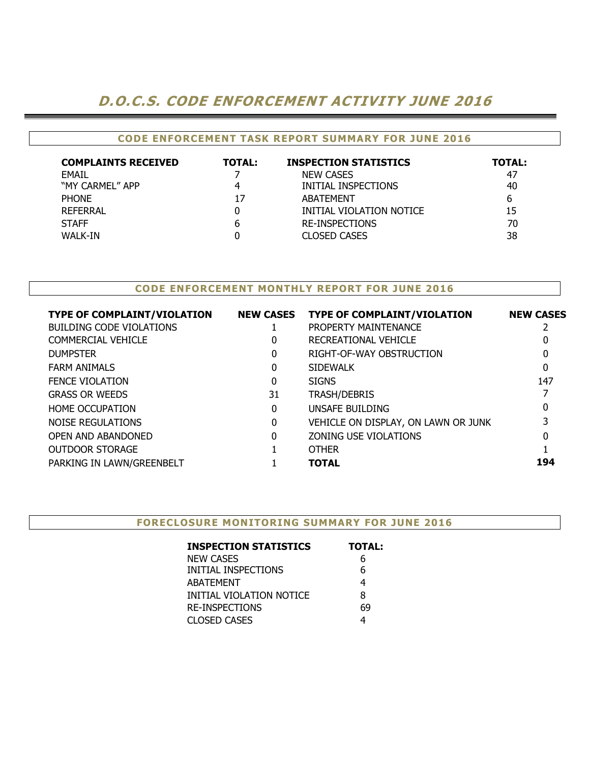## D.O.C.S. CODE ENFORCEMENT ACTIVITY JUNE 2016

### CODE ENFORCEMENT TASK REPORT SUMMARY FOR JUNE 2016

| <b>COMPLAINTS RECEIVED</b> | <b>TOTAL:</b> | <b>INSPECTION STATISTICS</b> | <b>TOTAL:</b> |
|----------------------------|---------------|------------------------------|---------------|
| <b>FMAIL</b>               |               | <b>NEW CASES</b>             | -47           |
| "MY CARMEL" APP            |               | INITIAL INSPECTIONS          | 40            |
| <b>PHONE</b>               | 17            | <b>ABATEMENT</b>             | 6             |
| REFERRAL                   |               | INITIAL VIOLATION NOTICE     | 15            |
| <b>STAFF</b>               | b             | <b>RE-INSPECTIONS</b>        | 70            |
| WALK-IN                    |               | <b>CLOSED CASES</b>          | 38            |

### CODE ENFORCEMENT MONTHLY REPORT FOR JUNE 2016

| <b>TYPE OF COMPLAINT/VIOLATION</b> | <b>NEW CASES</b> | <b>TYPE OF COMPLAINT/VIOLATION</b>  | <b>NEW CASES</b> |
|------------------------------------|------------------|-------------------------------------|------------------|
| <b>BUILDING CODE VIOLATIONS</b>    |                  | PROPERTY MAINTENANCE                |                  |
| <b>COMMERCIAL VEHICLE</b>          | 0                | RECREATIONAL VEHICLE                |                  |
| <b>DUMPSTER</b>                    | 0                | RIGHT-OF-WAY OBSTRUCTION            | 0                |
| <b>FARM ANIMALS</b>                | 0                | SIDEWALK                            | 0                |
| <b>FENCE VIOLATION</b>             | 0                | <b>SIGNS</b>                        | 147              |
| <b>GRASS OR WEEDS</b>              | 31               | <b>TRASH/DEBRIS</b>                 |                  |
| <b>HOME OCCUPATION</b>             | 0                | UNSAFE BUILDING                     | 0                |
| NOISE REGULATIONS                  | 0                | VEHICLE ON DISPLAY, ON LAWN OR JUNK |                  |
| OPEN AND ABANDONED                 | 0                | ZONING USE VIOLATIONS               | 0                |
| <b>OUTDOOR STORAGE</b>             |                  | <b>OTHER</b>                        |                  |
| PARKING IN LAWN/GREENBELT          |                  | <b>TOTAL</b>                        | 194              |

| <b>INSPECTION STATISTICS</b> | <b>TOTAL:</b> |
|------------------------------|---------------|
| <b>NEW CASES</b>             | 6             |
| INITIAL INSPECTIONS          | 6             |
| <b>ABATEMENT</b>             | 4             |
| INITIAL VIOLATION NOTICE     | 8             |
| <b>RE-INSPECTIONS</b>        | 69            |
| <b>CLOSED CASES</b>          |               |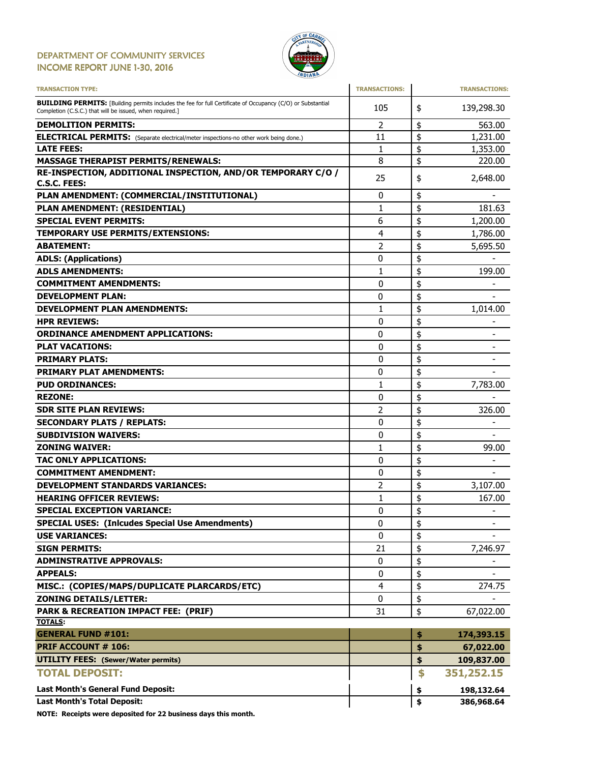#### DEPARTMENT OF COMMUNITY SERVICES INCOME REPORT JUNE 1-30, 2016



| <b>TRANSACTION TYPE:</b>                                                                                                                                                       | <b>TRANSACTIONS:</b> |          | <b>TRANSACTIONS:</b>     |
|--------------------------------------------------------------------------------------------------------------------------------------------------------------------------------|----------------------|----------|--------------------------|
| <b>BUILDING PERMITS:</b> [Building permits includes the fee for full Certificate of Occupancy (C/O) or Substantial<br>Completion (C.S.C.) that will be issued, when required.] | 105                  | \$       | 139,298.30               |
| <b>DEMOLITION PERMITS:</b>                                                                                                                                                     | 2                    | \$       | 563.00                   |
| <b>ELECTRICAL PERMITS:</b> (Separate electrical/meter inspections-no other work being done.)                                                                                   | 11                   | \$       | 1,231.00                 |
| <b>LATE FEES:</b>                                                                                                                                                              | 1                    | \$       | 1,353.00                 |
| <b>MASSAGE THERAPIST PERMITS/RENEWALS:</b>                                                                                                                                     | 8                    | \$       | 220.00                   |
| RE-INSPECTION, ADDITIONAL INSPECTION, AND/OR TEMPORARY C/O /                                                                                                                   | 25                   | \$       | 2,648.00                 |
| C.S.C. FEES:                                                                                                                                                                   |                      |          |                          |
| PLAN AMENDMENT: (COMMERCIAL/INSTITUTIONAL)                                                                                                                                     | 0                    | \$       |                          |
| PLAN AMENDMENT: (RESIDENTIAL)                                                                                                                                                  | $\mathbf{1}$         | \$       | 181.63                   |
| <b>SPECIAL EVENT PERMITS:</b>                                                                                                                                                  | 6                    | \$       | 1,200.00                 |
| <b>TEMPORARY USE PERMITS/EXTENSIONS:</b>                                                                                                                                       | 4                    | \$       | 1,786.00                 |
| <b>ABATEMENT:</b>                                                                                                                                                              | 2                    | \$       | 5,695.50                 |
| <b>ADLS: (Applications)</b>                                                                                                                                                    | 0                    | \$       |                          |
| <b>ADLS AMENDMENTS:</b>                                                                                                                                                        | 1                    | \$       | 199.00                   |
| <b>COMMITMENT AMENDMENTS:</b>                                                                                                                                                  | 0                    | \$       |                          |
| <b>DEVELOPMENT PLAN:</b>                                                                                                                                                       | 0                    | \$       |                          |
| <b>DEVELOPMENT PLAN AMENDMENTS:</b>                                                                                                                                            | $\mathbf{1}$         | \$       | 1,014.00                 |
| <b>HPR REVIEWS:</b>                                                                                                                                                            | 0                    | \$       |                          |
| <b>ORDINANCE AMENDMENT APPLICATIONS:</b>                                                                                                                                       | 0                    | \$       |                          |
| <b>PLAT VACATIONS:</b>                                                                                                                                                         | 0                    | \$       | $\overline{\phantom{a}}$ |
| <b>PRIMARY PLATS:</b>                                                                                                                                                          | 0                    | \$       |                          |
| <b>PRIMARY PLAT AMENDMENTS:</b>                                                                                                                                                | 0                    | \$       |                          |
| <b>PUD ORDINANCES:</b>                                                                                                                                                         | $\mathbf{1}$         | \$       | 7,783.00                 |
| <b>REZONE:</b>                                                                                                                                                                 | 0                    | \$       |                          |
| <b>SDR SITE PLAN REVIEWS:</b>                                                                                                                                                  | 2                    | \$       | 326.00                   |
| <b>SECONDARY PLATS / REPLATS:</b>                                                                                                                                              | 0                    | \$       |                          |
| <b>SUBDIVISION WAIVERS:</b>                                                                                                                                                    | 0                    | \$       |                          |
| <b>ZONING WAIVER:</b>                                                                                                                                                          | 1                    | \$       | 99.00                    |
| <b>TAC ONLY APPLICATIONS:</b>                                                                                                                                                  | 0                    |          |                          |
| <b>COMMITMENT AMENDMENT:</b>                                                                                                                                                   |                      | \$<br>\$ |                          |
|                                                                                                                                                                                | 0                    |          |                          |
| <b>DEVELOPMENT STANDARDS VARIANCES:</b>                                                                                                                                        | 2                    | \$       | 3,107.00                 |
| <b>HEARING OFFICER REVIEWS:</b>                                                                                                                                                | 1                    | \$       | 167.00                   |
| <b>SPECIAL EXCEPTION VARIANCE:</b>                                                                                                                                             | 0                    | \$       |                          |
| <b>SPECIAL USES: (Inlcudes Special Use Amendments)</b>                                                                                                                         | 0                    | \$       | $\overline{\phantom{a}}$ |
| <b>USE VARIANCES:</b>                                                                                                                                                          | 0                    | \$       |                          |
| <b>SIGN PERMITS:</b>                                                                                                                                                           | 21                   | \$       | 7,246.97                 |
| <b>ADMINSTRATIVE APPROVALS:</b>                                                                                                                                                | 0                    | \$       |                          |
| <b>APPEALS:</b>                                                                                                                                                                | 0                    | \$       |                          |
| MISC.: (COPIES/MAPS/DUPLICATE PLARCARDS/ETC)                                                                                                                                   | 4                    | \$       | 274.75                   |
| <b>ZONING DETAILS/LETTER:</b>                                                                                                                                                  | 0                    | \$       |                          |
| PARK & RECREATION IMPACT FEE: (PRIF)                                                                                                                                           | 31                   | \$       | 67,022.00                |
| <b>TOTALS:</b>                                                                                                                                                                 |                      |          |                          |
| <b>GENERAL FUND #101:</b>                                                                                                                                                      |                      | \$       | 174,393.15               |
| <b>PRIF ACCOUNT # 106:</b>                                                                                                                                                     |                      | \$       | 67,022.00                |
| <b>UTILITY FEES: (Sewer/Water permits)</b>                                                                                                                                     |                      | \$       | 109,837.00               |
| <b>TOTAL DEPOSIT:</b>                                                                                                                                                          |                      | \$       | 351,252.15               |
| Last Month's General Fund Deposit:                                                                                                                                             |                      | \$       | 198,132.64               |
| <b>Last Month's Total Deposit:</b>                                                                                                                                             |                      | \$       | 386,968.64               |

NOTE: Receipts were deposited for 22 business days this month.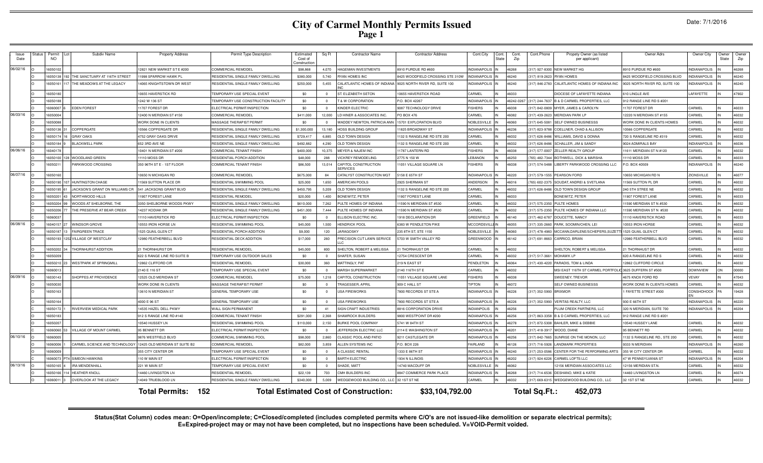| Date: 7/1/2016 |  |  |  |
|----------------|--|--|--|
|----------------|--|--|--|

| Issue<br>Date | ∖tat⊔ | Permi<br><b>NO</b> | Subdiv Name                    | <b>Property Address</b>            | Permit Type Description             | Estimated<br>Cost of<br>Constructio | Sq Ft       | Contractor Name                              | <b>Contractor Address</b>        | Cont.City                         | Cont.<br>State | Cont.<br>Zip | Cont.Phone             | Propety Owner (as listed<br>per applicant) | Owner Adrs                     | Owner City          | Owner<br>State | Owne<br>Zip |
|---------------|-------|--------------------|--------------------------------|------------------------------------|-------------------------------------|-------------------------------------|-------------|----------------------------------------------|----------------------------------|-----------------------------------|----------------|--------------|------------------------|--------------------------------------------|--------------------------------|---------------------|----------------|-------------|
| 06/02/16      |       | 605010             |                                | 2821 NEW MARKET ST E #200          | OMMERCIAL REMODEL                   | \$98,868                            | 4.070       | <b>HAGEMAN INVESTMENTS</b>                   | 3910 PURDUE RD #600              | NDIANAPOLI                        |                | 16268        |                        | 17) 927-8300 NEW MARKET HG                 | 8910 PURDUE RD #600            | <b>NDIANAPOLIS</b>  |                | 46268       |
|               |       | 6050138            | HE SANCTUARY AT 116TH STREET   | 1998 SPARROW HAWK PI               | ESIDENTIAL SINGLE FAMILY DWELLING   | \$380,000                           | 5.740       | RYAN HOMES INC                               | 8425 WOODFIELD CROSSING STE 310W | <b>NDIANAPOLIS</b>                |                | 46240        | 17) 819-2623           | <b>RYAN HOMES</b>                          | 8425 WOODFIELD CROSSING BLVD   | NDIANAPOLIS         |                | 46240       |
|               |       | 605016             | THE MEADOWS AT THE LEGACY      | 4065 KNIGHTSTOWN DR WEST           | RESIDENTIAL SINGLE FAMILY DWELLING  | \$250,000                           | 5,455       | CALATLANTIC HOMES OF INDIANA                 | 9025 NORTH RIVER RD, SUITE 100   | <b>JDIANAPOLIS</b> IN             |                | 46240        | 317) 846-2783          | CALATLANTIC HOMES OF INDIANA INC           | 9025 NORTH RIVER RD, SUITE 100 | NDIANAPOLIS         |                | 46240       |
|               |       | 16050180           |                                | 10655 HAVERSTICK RD                | TEMPORARY USE SPECIAL EVENT         | \$0                                 | $\Omega$    | ST. ELIZABETH SETON                          | 10655 HAVERSTICK ROAD            | CARMEL                            |                | 46033        |                        | DIOCESE OF LAFAYETTE INDIANA               | 610 LINGLE AVE                 | LAFAYETTE           |                | 47902       |
|               |       | 605018             |                                | 1242 W 136 ST                      | TEMPORARY USE CONSTRUCTION FACILITY | \$0                                 | $\Omega$    | <b>8 W CORPORATION</b>                       | P.O. BOX 42267                   | NDIANAPOLIS                       |                | 16242-0267   |                        | 317) 244-7637 B & D CARMEL PROPERTIES, LLC | 912 RANGE LINE RD S #201       |                     |                |             |
|               |       | 1606000            | <b>EDEN FOREST</b>             | 1707 FOREST DR                     | ELECTRICAL PERMIT/INSPECTION        | \$0                                 | $\Omega$    | <b>INDER ELECTRIC</b>                        | 9087 TECHNOLOGY DRIVE            | <b>ISHERS</b>                     |                | 16038        | 317) 842-0809          | MYER, JAMES & CAROLYN                      | 11707 FOREST DR                | CARMEL              |                | 46033       |
| 06/03/16      |       | 1605000            |                                | 12400 N MERIDIAN ST #150           | COMMERCIAL REMODE                   | \$411,000                           | 12.000      | LD HINER & ASSOCIATES INC                    | <b>PO BOX 476</b>                | <b>ARMEL</b>                      |                | 36082        | 317) 439-2623          | <b>MERIDIAN PARK II</b>                    | 12220 N MERIDIAN ST #155       | CARMEL              |                | 46032       |
|               |       | 6050088            |                                | <b><i>NORK DONE IN CLIENTS</i></b> | MASSAGE THERAPIST PERMIT            | \$0                                 | $\Omega$    | <b>NADDEY NEWTON, PATRICIA ANN</b>           | 15701 EXPLORATION BLVD           | NOBLESVILLE                       |                | 16060        | 317) 645-5081          | SELF OWNED BUSINESSS                       | WORK DONE IN CLIENTS HOMES     | CARMEL              |                | 46032       |
|               |       | 16050136           | COPPERGATE                     | 10566 COPPERGATE DR                | RESIDENTIAL SINGLE FAMILY DWELLING  | \$1,300,00                          | 13,180      | <b>HOSS BUILDING GROUP</b>                   | 1825 BROADWAY ST                 | <b>INDIANAPOLIS</b>               |                | 46236        | 317) 823-978           | COELLNER, CHAD & ALLISON                   | 10566 COPPERGATE               | CARMEL              |                | 46032       |
|               |       | 605017             | <b>GRAY OAKS</b>               | 4752 GRAY OAKS DRIVE               | RESIDENTIAL SINGLE FAMILY DWELLING  | \$729,41                            | 6,885       | OLD TOWN DESIGN                              | 1132 S RANGELINE RD STE 200      | ARME:                             |                | 16032        | 317) 626-8486          | WILLIAMS, DAVID & DONNA                    | 720 S RANGELINE RD #319        | CARMEL              |                | 46032       |
|               |       | 605018             | <b>BLACKWELL PARK</b>          | 652 3RD AVE NE                     | RESIDENTIAL SINGLE FAMILY DWELLING  | \$492,882                           | 4,290       | OLD TOWN DESIGN                              | 1132 S RANGELINE RD STE 200      | CARMEL                            |                | 46032        | 317) 626-8486          | SCHALLER, JIM & SANDY                      | 9024 ADMIRALS BAY              | <b>INDIANAPOLIS</b> |                | 46036       |
| 06/06/16      |       | 60401              |                                | 0401 N MERIDIAN ST #200            | COMMERCIAL TENANT FINISH            | \$400,000                           | 10,375      | <b>MEYER &amp; NAJEM INC</b>                 | 11787 LANTERN RD                 | <b>ISHERS</b>                     |                | 16038        | 17) 577-0007           | <b>ZELLER REALTY GROUP</b>                 | 11611 MERIDIAN ST N #120       | CARMEL              |                | 46032       |
|               |       | 605010             | WOODLAND GREEN                 | 1110 MOSS DR                       | RESIDENTIAL PORCH ADDITION          | \$48,000                            | 288         | <b>/ICKREY REMODELING</b>                    | 2775 N 150 W                     | LEBANON                           |                | 46250        | 765) 482-734           | BOTHWELL, DICK & MARSHA                    | 11110 MOSS DR                  | CARMEL              |                | 46033       |
|               |       | 605021             | ARKWOOD CROSSING               | 350 96TH ST E - 1ST FLOOF          | COMMERCIAL TENANT FINISH            | \$86,500                            | 13,014      | CAPITOL CONSTRUCTION<br><b>FRVICES</b>       | 11051 VILLAGE SQUARE LN          | <b>ISHERS</b>                     |                | 46038        | 17) 574-5488           | LIBERTY PARKWOOD CROSSING LLC              | P.O. BOX 40509                 | <b>INDIANAPOLIS</b> |                | 46240       |
| 06/07/16      |       | 16050160           |                                | 0650 N MICHIGAN RD                 | COMMERCIAL REMODEL                  | \$675,000                           | 84          | CATALYST CONSTRUCTON MGT                     | 5158 E 65TH ST                   | <b>INDIANAPOLIS</b>               |                | 46220        |                        | 317) 579-1555 PEARSON FORD                 | 10650 MICHIGAN RD N            | ZIONSVILLE          |                | 46077       |
|               |       | 16050190           | <b>HUNTINGTON CHASE</b>        | 1569 SUTTON PLACE DR               | RESIDENTIAL SWIMMING POOL           | \$25,000                            | 1,650       | AMERICAN POOLS                               | 2925 SHERMAN ST                  | <b>INDERSON</b>                   |                | 16016        | 765) 602-237           | SOUDAT, ANDREI & SVETLANA                  | 11569 SUTTON PL DR             | CARMEL              |                | 46032       |
|               |       | 16050195           | JACKSON'S GRANT ON WILLIAMS CR | 541 JACKSONS GRANT BLVD            | RESIDENTIAL SINGLE FAMILY DWELLING  | \$450,795                           | 5,209       | OLD TOWN DESIGN                              | 1132 S RANGELINE RD STE 200      | CARMEL                            | IN             | 46032        |                        | 317) 626-8486 OLD TOWN DESIGN GROUP        | 240 5TH STREE NE               | CARMEL              |                | 46032       |
|               |       | 605020             | NORTHWOOD HILLS                | 1907 FOREST LANE                   | RESIDENTIAL REMODEL                 | \$20,000                            | 1.400       | BONEWITZ, PETER                              | 11907 FOREST LANE                | CARMEL                            | IN             | 46033        |                        | <b>BONEWITZ, PETER</b>                     | 11907 FOREST LANE              | CARMEL              |                | 46033       |
|               |       | 605020             | WOODS AT SHELBORNE. THE        | 3350 SHELBORNE WOODS PKWY          | RESIDENTIAL SINGLE FAMILY DWELLING  | \$610,00                            | 7.262       | PULTE HOMES OF INDIANA                       | 11590 N MERIDIAN ST #530         | CARMEL                            | IN             | 46032        |                        | 317) 575-2350 PULTE HOMES                  | 11590 MERIDIAN ST N #530       | CARMEL              |                | 46032       |
|               |       | 60502              | THE PRESERVE AT BEAR CREEK     | 4237 KODIAK DR                     | RESIDENTIAL SINGLE FAMILY DWELLING  | \$451,000                           | 7.444       | PULTE HOMES OF INDIANA                       | 11590 N MERIDIAN ST #530         | CARMEL                            |                | 16032        | 317) 575-235           | PULTE HOMES OF INDIANA LLC                 | 11590 MERIDIAN ST N #530       | CARMEL              |                | 46032       |
|               |       | 3009081            |                                | 1110 HAVERSTICK RD                 | ELECTRICAL PERMIT/INSPECTION        | \$0                                 | $\Omega$    | ELLISON ELECTRIC INC.                        | 1918 DECLARATION DR              | GREENFIELD                        |                | 46140        | 317) 462-6787          | DOUCETTE, NANCY                            | 11110 HAVERSTICK ROAD          | CARMEL              |                | 46033       |
| 06/08/16      |       | 604015             | <b>WINDSOR GROVE</b>           | 0553 IRON HORSE LN                 | RESIDENTIAL SWIMMING POOL           | \$45,000                            | 1.500       | <b>HENDRICK POOL</b>                         | 6383 W PENDLETON PIKE            | <b><i><u>MCCORDSVILLE</u></i></b> |                | 16055        | 317) 335-266           | PARK, SOOMIN/CHEN, LEI                     | 10553 IRON HORSE               | CARMEL              |                | 46032       |
|               |       | 1605018            | <b>FAIRGREEN TRACE</b>         | 525 OUAIL GLENCT                   | RESIDENTIAL PORCH ADDITION          | \$9,000                             | 120         | <b>JARAGOSKY</b>                             | 235 8TH ST, STE 1150             | NOBLESVILLE                       |                | 16060        | 317) 478-4983          | MCCANN.DARLENE/SCHEPERS.SUZET              | 1525 QUAIL GLEN CT             | CARMEL              |                | 46032       |
|               |       | 6050193            | VILLAGE OF WESTCLAY            | 2980 FEATHERBELL BLVD              | RESIDENTIAL DECK ADDITION           | \$17,000                            | 260         | PRECISION CUT LAWN SERVICE                   | 5703 W SMITH VALLEY RD           | GREENWOOD                         |                | 46142        |                        | 317) 691-8663 CARRICO, BRIAN               | 12980 FEATHERBELL BLVD         | CARMEL              |                | 46032       |
|               |       | 6050202            | <b>HORNHURST ADDITION</b>      | 1 THORNHURST DR                    | <b>ESIDENTIAL REMODEL</b>           | \$45,000                            | 800         | SHELTON, ROBERT & MELISSA                    | 1 THORNHUST DR                   | CARMEL                            |                | 16032        |                        | SHELTON, ROBERT & MELISSA                  | 21 THORNHUST DR                | CARMEL              |                | 46032       |
|               |       | 6050209            |                                | 22 S RANGE LINE RD SUITE B         | <b>EMPORARY USE OUTDOOR SALES</b>   | \$0                                 | $\Omega$    | SHAFER, SUSAN                                | 12754 CRESCENT DF                | CARMEL                            |                | <b>SCOA</b>  | 17) 517-3661           | <b>MOHAWK LF</b>                           | 620 A RANGELINE RD S           | CARMEL              |                | 46032       |
|               |       | 605021             | <b>WESTPARK AT SPRINGMILI</b>  | 2862 CLIFFORD CIR                  | <b>ESIDENTIAL REMODEL</b>           | \$30,000                            | 360         | <b>MATTINGLY, PAT</b>                        | 219 N EAST ST                    | <b>ENDLETON</b>                   |                | 16064        | 17) 430-422            | PARADIS, TOM & LINDA                       | 12862 CLIFFORD CIRCLE          | CARMEL              |                | 46032       |
|               |       | 6060013            |                                | 140 E 116 ST                       | <b>EMPORARY USE SPECIAL EVENT</b>   | \$0                                 | $^{\circ}$  | <b>MARSH SUPERMARKET</b>                     | 2140 116TH ST E                  | CARMEL                            |                | 16032        |                        | MSI EAST 116TH ST CARMEL PORTFOL           | 3625 DUFFERN ST #500           | <b>DOWNVIEW</b>     |                | 00000       |
| 06/09/16      |       | 6030143            | <b>SHOPPES AT PROVIDENCE</b>   | 2525 OLD MERIDIAN ST               | <b>COMMERCIAL REMODE</b>            | \$75,000                            | 1,218       | CAPITOL CONSTRUCTION                         | 11051 VILLAGE SQUARE LANE        | <b>ISHERS</b>                     |                | 16038        |                        | SWEENEY, TREVOR                            | 4675 KNOX FORD RD              | /FVAY               |                | 47043       |
|               |       | 6050030            |                                | VORK DONE IN CLIENTS               | MASSAGE THERAPIST PERMIT            | \$0                                 | $\Omega$    | RAGESSER, APRI                               | 909 C HALL ST                    | <b>IPTON</b>                      |                | 16072        |                        | <b>SELF OWNED BUSINESSS</b>                | WORK DONE IN CLIENTS HOMES     | <b>ARMEL</b>        |                | 46032       |
|               |       | 6050163            |                                | 3610 N MERIDIAN ST                 | GENERAL TEMPORARY USE               | \$0                                 | $\mathbf 0$ | <b>JSA FIREWORKS</b>                         | 7800 RECORDS ST STE A            | INDIANAPOLIS IN                   |                | 46226        | (317) 352-5993 BRIXMOR |                                            | 1 FAYETTE STREET #300          | CONSHOHOCK          |                | 19428       |
|               |       | 16050164           |                                | 4000 E 96 ST                       | GENERAL TEMPORARY USE               | \$0                                 | $\Omega$    | <b>JSA FIREWORKS</b>                         | 7800 RECORDS ST STE A            | NDIANAPOLIS                       |                | 46226        |                        | 317) 352-5993 VERITAS REALTY, LLC          | 930 E 66TH ST                  | <b>INDIANAPOLIS</b> |                | 46220       |
|               |       | 16050172           | RIVERVIEW MEDICAL PARK         | 4535 HAZEL DELL PKWY               | WALL SIGN PERMANENT                 | \$0                                 | 41          | SIGN CRAFT INDUSTRIES                        | 8816 CORPORATION DRIVE           | NDIANPOLIS                        |                | 46256        |                        | PLUM CREEK PARTNERS, LLC                   | 320 N MERIDIAN, SUITE 700      | <b>INDIANAPOLIS</b> |                | 46204       |
|               |       | 16050183           |                                | 912 S RANGE LINE RD #140           | COMMERCIAL TENANT FINISH            | \$291,000                           | 2,368       | SHAMROCK BUILDERS                            | 9800 WESTPOINT DR #200           | <b>INDIANAPOLIS</b>               |                | 4625F        | 317) 863-3358          | <b>B &amp; D CARMEL PROPERTIES, LLC</b>    | 912 RANGE LINE RD S #201       |                     |                |             |
|               |       | 60502              |                                | 0540 HUSSEY LN                     | RESIDENTIAL SWIMMING POOL           | \$110,000                           | 2,150       | BURKE POOL COMPANY                           | 5741 W 84TH ST                   | NDIANAPOLIS                       |                | 16278        | 317) 872-5308          | BAHLER, MIKE & DEBBI                       | 10540 HUSSEY LANE              | CARMEL              |                | 46032       |
|               |       | 60600              | <b>ILLAGE OF MOUNT CARMEL</b>  | 95 BENNETT DF                      | ELECTRICAL PERMIT/INSPECTION        | \$0                                 |             | <b>JEFFERSON ELECTRIC LLC</b>                | 2114 E WASHINGTON ST             | <b>NDIANAPOLIS</b>                |                | 46201        | 317) 418-391           | WOOD, DIANE                                | 95 BENNETT RD                  | CARMEL              |                | 46032       |
| 06/10/16      |       | 606000             |                                | 876 WESTFIELD BLVD                 | COMMERCIAL SWIMMING POOL            | \$98,000                            | 2,860       | CLASSIC POOL AND PATIO                       | 9211 CASTLEGATE DR               | <b>NDIANAPOLIS</b>                |                | 16256        | 17) 842-766            | SUNRISE ON THE MONON, LLC                  | 1132 S RANGELINE RD., STE 200  | CARMEL              |                | 46032       |
|               |       | 606000             | CARMEL SCIENCE AND TECHNOLOGY  | 2425 OLD MERIDIAN ST SUITE B2      | COMMERCIAL REMODEL                  | \$82,000                            | 3.859       | ALLEN SYSTEMS INC                            | P.O. BOX 226                     | FAIRLAND                          |                | 46126        | 17) 716-592            | <b>ANDMARK PROPERTIES</b>                  | 9333 N MERIDIAN                | <b>NDIANAPOLIS</b>  |                | 46260       |
|               |       | 606000             |                                | <b>855 CITY CENTER DF</b>          | EMPORARY USE SPECIAL EVENT          | \$0                                 |             | A CLASSIC RENTA                              | 1333 E 86TH ST                   | <b>NDIANAPOLIS</b>                |                | 16240        | 17) 253-058            | CENTER FOR THE PERFORMING ARTS             | 355 W CITY CENTER DR           | CARMEL              |                | 46032       |
|               |       | 606007             | <b>SIMEON HAWKINS</b>          | 10 W MAIN ST                       | <b>ELECTRICAL PERMIT/INSPECTION</b> | \$0                                 | $^{\circ}$  | <b>BARTH ELECTRIC</b>                        | 1934 N ILLINOIS                  | <b>NDIANAPOLIS</b>                |                | 16202        | 317) 924-622           | CARMEL LOFTS LLC                           | 47 W PENNSYLVANIA ST           | <b>INDIANAPOLIS</b> |                | 46204       |
| 06/13/16      |       | 60501              | RA MENDENHALI                  | 221 W MAIN ST                      | EMPORARY USE SPECIAL EVENT          | \$0                                 |             | HADE, MATT                                   | 14740 MACDUFF DR                 | <b>VOBLESVILLE</b>                |                | 3062         |                        | 2156 MERIDIAN ASSOCIATES LLC               | 12156 MERIDIAN ST.N            | CARMEL              |                | 46032       |
|               |       | 60501              | <b>HEATHER KNOLL</b>           | 4460 LIVINGSTON LN                 | RESIDENTIAL REMODEI                 | \$22,139                            | 703         | <b>CMH BUILDERS INC</b>                      | 8847 COMMERCE PARK PLACE         | <b>NDIANAPOLIS</b>                |                | 16268        | 17) 714-653            | <b>DESHANO, MIKE &amp; KATIE</b>           | 14460 LIVINGSTON LN            | CARMEL              |                | 46074       |
|               |       | 00906              | <b>OVERLOOK AT THE LEGACY</b>  | 4049 TRUEBLOOD IN                  | RESIDENTIAL SINGLE FAMILY DWELLING  | \$340,000                           | 5,009       | WEDGEWOOD BUILDING CO., LLC 32 1ST ST NE     |                                  | CARMEL                            |                | 16032        |                        | 17) 669-6315 WEDGEWOOD BUILDING CO., LLC   | 32 1ST ST NE                   | CARMEL              |                | 46032       |
|               |       |                    |                                | 152<br>Total Permits:              |                                     |                                     |             | <b>Total Estimated Cost of Construction:</b> | \$33,104,792.00                  |                                   |                |              | Total Sq.Ft.:          | 452,073                                    |                                |                     |                |             |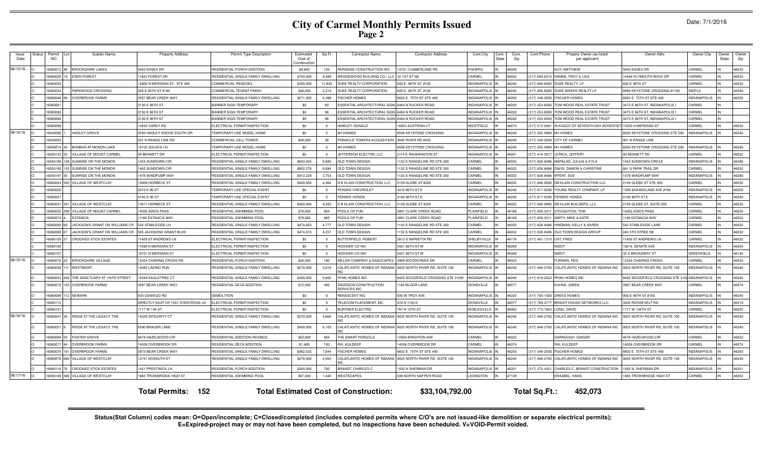| Date: 7/1/2016 |  |  |
|----------------|--|--|
|----------------|--|--|

| <b>Issue</b><br>Date | Status | Permi<br><b>NO</b> | Subdiv Name                       | <b>Property Address</b>            | Permit Type Description                   | Estimated<br>Cost of<br>Construction | Sq Ft          | <b>Contractor Name</b>                                 | <b>Contractor Address</b>                                   | Cont.City           | Cont.<br>State | Cont.<br>Zip | Cont.Phone<br>Propety Owner (as listed<br>per applicant) | Owner Adrs                     | Owner City          | Owner<br>State | Owner<br>Zip |
|----------------------|--------|--------------------|-----------------------------------|------------------------------------|-------------------------------------------|--------------------------------------|----------------|--------------------------------------------------------|-------------------------------------------------------------|---------------------|----------------|--------------|----------------------------------------------------------|--------------------------------|---------------------|----------------|--------------|
| 06/13/16.            |        | 606001             | <b>BROOKSHIRE LAKES</b>           | 6043 ESSEX DR                      | RESIDENTIAL PORCH ADDITION                | \$9,800                              | 104            | PARADISE CONSTRUCTION INC                              | 3731 CUMBERLAND RD                                          | <b>FISHERS</b>      |                | 46038        | <b>SUY, MATTHEW</b>                                      | 5043 ESSEX DR                  | CARMEL              |                | 46033        |
|                      |        | <b>GOOGOOS</b>     | <b>EDEN FOREST</b>                | 1823 FOREST DR                     | <b>RESIDENTIAL SINGLE FAMILY DWELLING</b> | \$750,000                            | 8.489          | VEDGEWOOD BUILDING CO., LLC                            | 21ST ST NE                                                  | CARMEL              |                | 46032        | 317) 669-6315<br>HANNA, TROY & LISA                      | 14446 PLYMOLITH ROCK DR        | <b>ARMEL</b>        |                | 46033        |
|                      |        | 16060033           |                                   | 2800 N MERIDIAN ST., STE 400       | COMMERCIAL REMODEL                        | \$300,000                            | 11.839         | <b>OUKE REALTY CORPORATION</b>                         | 600 E. 96TH ST. #100                                        | <b>INDIANAPOLIS</b> |                | 46240        | 317) 808-6000<br>DUKE REALTY, LP                         | 600 E 96TH ST                  | ARMEL               |                | 46032        |
|                      |        | 16060034           | PARKWOOD CROSSING                 | 500 E 96TH ST #180                 | COMMERCIAL TENANT FINISH                  | \$40,000                             | 2,210          | <b>OUKE REALTY CORPORATION</b>                         | 600 E. 96TH ST. #100                                        | <b>INDIANAPOLIS</b> |                | 46240        | 317) 808-6000<br>DUKE WEEKS REALTY LF                    | 8888 KEYSTONE CROSSING #1100   | <b>NDPLS</b>        |                | 46240        |
|                      |        | 16060046           | <b>OVERBROOK FARMS</b>            | 3957 BEAR CREEK WAY                | <b>RESIDENTIAL SINGLE FAMILY DWELLING</b> | \$271,000                            | 6,398          | <b>ISCHER HOMES</b>                                    | 6602 E. 75TH ST STE 400                                     | <b>INDIANAPOLIS</b> |                | 46250        | (317) 348-2500<br><b>ISCHER HOMES</b>                    | 6602 E. 75TH ST STE 400        | <b>INDIANAPOLIS</b> |                | 46250        |
|                      |        | 16060061           |                                   | 3130 E 96TH ST                     | <b>BANNER SIGN TEMPORARY</b>              | \$0                                  | 60             | <b>ESSENTIAL ARCHITECTURAL SIGN 6464 N RUCKER ROAD</b> |                                                             | <b>INDIANAPOLIS</b> |                | 46220        | TOM WOOD REAL ESTATE TRUST<br>(317) 253-6000             | 3473 E 96TH ST, INDIANAPOLIS I | CARMEL              |                |              |
|                      |        | 16060065           |                                   | 3130 E 96TH ST                     | <b>BANNER SIGN TEMPORARY</b>              | \$0                                  | 96             | ESSENTIAL ARCHITECTURAL SIGN                           | 6464 N RUCKER ROAD                                          | <b>INDIANAPOLIS</b> |                | 46220        | $(317)$ 253-6000<br>TOM WOOD REAL ESTATE TRUST           | 3473 E 96TH ST, INDIANAPOLIS I | CARMEL              | IN             |              |
|                      |        | 16060066           |                                   | 3130 E 96TH ST                     | <b>BANNER SIGN TEMPORARY</b>              | \$0                                  | 96             | ESSENTIAL ARCHITECTURAL SIGN                           | 6464 N RUCKER ROAD                                          | <b>INDIANAPOLIS</b> |                | 46220        | $(317)$ 253-6000<br>TOM WOOD REAL ESTATE TRUST           | 3473 E 96TH ST, INDIANAPOLIS I | <b>ARMEL</b>        | IN             |              |
|                      |        | 1606009            |                                   | 4535 CAREY RD                      | ELECTRICAL PERMIT/INSPECTION              | \$0                                  | $\Omega$       | HAWLEY, DONALD                                         | 6923 AUSTRIAN CT                                            | WESTFIELD           |                | 46074        | (317) 513-046<br><b>I ASSOC OF SEVENTH DAY ADVENT</b>    | 15250 N MERIDIAN ST            | CARMEL              |                | 46032        |
| 06/14/16             |        | 16040090           | <b>HADLEY GROVE</b>               | 2550 HADLEY GROVE SOUTH DR         | TEMPORARY USE MODEL HOME                  | \$0                                  | $\overline{0}$ | M/I HOMES                                              | <b>8500 KEYSTONE CROSSING</b>                               | <b>INDIANAPOLIS</b> |                | 46240        | (317) 255-9900<br><b>M/I HOMES</b>                       | 8500 KEYSTONE CROSSING STE 590 | <b>INDIANAPOLIS</b> |                | 46240        |
|                      |        | 16050003           |                                   | 31 N RANGE LINE RD                 | COMMERCIAL CELL TOWER                     | \$40,000                             | 36             | <b>PINNACLE TOWERS ACQUISITION</b>                     | 9045 RIVER RD #425                                          | <b>INDIANAPOLIS</b> |                | 46240        | (317) 249-202<br><b>ITY OF CARMEL</b>                    | 901 N RANGE LINE               |                     |                |              |
|                      |        | 16050074           | 42 BONBAR AT MONON LAKE           | 0103 SOLACE LN                     | TEMPORARY USE MODEL HOME                  | \$0                                  | $\overline{0}$ | M/I HOMES                                              | <b>8500 KEYSTONE CROSSING</b>                               | <b>INDIANAPOLIS</b> |                | 46240        | (317) 255-990<br><b>I/I HOMES</b>                        | 8500 KEYSTONE CROSSING STE 590 | <b>INDIANAPOLIS</b> |                | 46240        |
|                      |        | 16050123           | <b>VILLAGE OF MOUNT CARMEL</b>    | 9 BENNETT DR                       | ELECTRICAL PERMIT/INSPECTION              | \$0                                  | $\overline{0}$ | JEFFERSON ELECTRIC LLC                                 | <b>2114 E WASHINGTON ST</b>                                 | <b>INDIANAPOLIS</b> |                | 46201        | (317) 418-391<br>LRICH, JEFFERY                          | 99 BENNETT RD                  | CARMEL              |                | 46032        |
|                      |        | 16050186           | 38 SUNRISE ON THE MONON           | 453 SUNDOWN CIF                    | RESIDENTIAL SINGLE FAMILY DWELLING        | \$653,935                            | 6.893          | OLD TOWN DESIGN                                        | 132 S RANGELINE RD STE 200                                  | CARMEL              |                | 46032        | (317) 626-848<br>MAPALAD, JULIUS & KYLA                  | 1453 SUNDOWN CIRCLE            | <b>INDIANAPOLIS</b> |                | 46280        |
|                      |        | 1605019            | SUNRISE ON THE MONON              | 463 SUNDOWN CIR                    | RESIDENTIAL SINGLE FAMILY DWELLING        | \$852,278                            | 6.894          | OLD TOWN DESIGN                                        | 132 S RANGELINE RD STE 200                                  | CARMEL              |                | 46032        | (317) 626-8486<br><b>AVIS, DAMON &amp; CHRISTINE</b>     | 861 S PARK TRAIL DF            | CARMEL              |                | 46032        |
|                      |        | 16050197           | SUNRISE ON THE MONON              | 1478 WINDPUMP WAY                  | RESIDENTIAL SINGLE FAMILY DWELLING        | \$412,228                            | 3.753          | OLD TOWN DESIGN                                        | 1132 S RANGELINE RD STE 200                                 | CARMEL              |                | 46032        | (317) 626-8486<br>FFERT SUP                              | 1478 WINDPUMP WAY              | <b>INDIANAPOLIS</b> |                | 46280        |
|                      |        | 16060024           | <b>VILLAGE OF WESTCLAY</b>        | 3009 HORBECK ST                    | RESIDENTIAL SINGLE FAMILY DWELLING        | \$400,000                            | 4.464          | <b>D B KLAIN CONSTRUCTION, LLC</b>                     | 159 GLEBE ST #200                                           | CARMEL              |                | 46032        | (317) 846-999<br><b>DB KLAIN CONSTRUCTION LLC</b>        | 2159 GLEBE ST STE 200          | CARMEL              |                | 46032        |
|                      |        | 16060026           |                                   | 3210 E 96 ST                       | TEMPORARY USE SPECIAL EVENT               | \$0                                  | $\Omega$       | PENSKE CHEVROLET                                       | 3210 96TH ST B                                              | <b>INDIANAPOLIS</b> |                | 46240        | (317) 817-0290<br>YOUNG REALTY COMPANY, LP               | 7399 SHAADELAND AVE #166       | <b>INDIANAPOLIS</b> |                | 46250        |
|                      |        | 1606002            |                                   | 1140 E 96 ST                       | TEMPORARY USE SPECIAL EVENT               | \$0                                  | $\Omega$       | PENSKE HONDA                                           | 1140 96TH ST B                                              | <b>INDIANAPOLI</b>  |                | 46240        | (317) 817-029<br><b>ENSKE HONDA</b>                      | 4140 96TH ST E                 | NDIANAPOLIS         |                | 46240        |
|                      |        | 2009081            | <b>VILLAGE OF WESTCLAY</b>        | 3017 HORBECK ST                    | RESIDENTIAL SINGLE FAMILY DWELLING        | \$400,000                            | 4.393          | D B KLAIN CONSTRUCTION, LLC                            | 2159 GLEBE ST #200                                          | CARMEL              |                | 46032        | (317) 846-999<br>B KLAIN BUILDERS, LLC                   | 2159 GLEBE ST, SUITE 200       | <b>ARMEL</b>        |                | 46032        |
|                      |        | 2009081            | VILLAGE OF MOUNT CARMEL           | 4502 ADIOS PASS                    | RESIDENTIAL SWIMMING POOL                 | \$76,000                             | 964            | POOLS OF FUN                                           | 3891 CLARK CREEK ROAD                                       | PLAINFIELD          |                | 46168        | $(317) 839 - 33$<br>TOUGHTON, TOM                        | 14502 ADIOS PASS               | ARMEL               |                | 46032        |
|                      |        | 1606007            | <b>FSTANCIA</b>                   | 1188 ESTANCIA WAY                  | RESIDENTIAL SWIMMING POOL                 | \$78,000                             | 865            | POOLS OF FUN                                           | 3891 CLARK CREEK ROAD                                       | PLAINFIELD          |                | 46168        | $(317) 839 - 33$<br><b>SMITH, MIKE &amp; KATIE</b>       | 1188 ESTANCIA WAY              | CARMEL              |                | 46032        |
|                      |        | 1606008            | JACKSON'S GRANT ON WILLIAMS CF    | 542 STABLESIDE LN                  | RESIDENTIAL SINGLE FAMILY DWELLING        | \$474,603                            | 4,777          | OLD TOWN DESIGN                                        | 1132 S RANGELINE RD STE 200                                 | CARMEL              |                | 46032        | $(317)626 - 848$<br><b>IINDMAN, KELLY &amp; KAREN</b>    | 542 STABLESIDE LANE            | CARMEL              |                | 46032        |
|                      |        | 160600             | JACKSON'S GRANT ON WILLIAMS CR    | 505 JACKSONS GRANT BLVD            | RESIDENTIAL SINGLE FAMILY DWELLING        | \$474,570                            | 4,257          | OLD TOWN DESIGN                                        | 1132 S RANGELINE RD STE 200                                 | CARMEL              |                | 46032        | (317) 626-84<br><b>OLD TOWN DESIGN GROUP</b>             | 240 5TH STREE NE               | CARMEL              |                | 46032        |
|                      |        | 1606010            | <b>CROOKED STICK ESTATES</b>      | 1429 ST ANDREWS LN                 | ELECTRICAL PERMIT/INSPECTION              | \$0                                  | $\overline{0}$ | BUTTERFIELD, ROBERT                                    | 2813 S MARIETTA RD                                          | SHELBYVILLE         |                | 46176        | 317) 401-131<br>OST, FRED                                | 11429 ST ANDREWS LN            | CARMEL              |                | 46032        |
|                      |        | 1606010            |                                   | 1599 N MERIDIAN ST                 | ELECTRICAL PERMIT/INSPECTION              | \$0                                  | $\mathbf{0}$   | <b>HOOSIER CO INC</b>                                  | 5421 86TH STW                                               | <b>INDIANAPOLIS</b> |                | 46268        | <b>INDOT</b>                                             | 100 N. SENATE AVE              | <b>INDIANAPOLIS</b> |                | 46204        |
|                      |        | 160601             |                                   | 101 N MERIDIAN ST                  | LECTRICAL PERMIT/INSPECTION               | \$0                                  | $\Omega$       | <b>HOOSIER CO INC</b>                                  | 421 86TH STW                                                | <b>INDIANAPOLIS</b> |                | 46268        | <b>NDOT</b>                                              | 32 S BROADWAY ST               | GREENFIELD          |                | 46140        |
| 06/15/16             |        | 1606001            | <b>BROOKSHIRE VILLAGE</b>         | 2324 CHARING CROSS RD              | RESIDENTIAL PORCH ADDITION                | \$20,000                             | 180            | MILLER COMPANY & ASSOCIATES                            | 4909 WOODCREEK DF                                           | CARMEL              |                | 46033        | URMAN, PEG                                               | 12324 CHARING CROSS            | CARMEL              |                | 46033        |
|                      |        | 6060036            | WESTMONT                          | 4083 LASINO RUN                    | RESIDENTIAL SINGLE FAMILY DWELLING        | \$270,000                            | 5,618          | CALATLANTIC HOMES OF INDIANA                           | 9025 NORTH RIVER RD, SUITE 100                              | NDIANAPOLIS         |                | 46240        | 317) 846-2783<br>CALATLANTIC HOMES OF INDIANA INC        | 9025 NORTH RIVER RD, SUITE 100 | <b>VDIANAPOLIS</b>  |                | 46240        |
|                      |        | 16060053           | 208 THE SANCTUARY AT 116TH STREET | 2049 EAGLETREE CT                  | RESIDENTIAL SINGLE FAMILY DWELLING        | \$400,000                            | 6,665          | RYAN HOMES INC                                         | 8425 WOODFIELD CROSSING STE 310W                            | <b>INDIANAPOLIS</b> |                | 46240        | (317) 819-2623 RYAN HOMES INC                            | 8425 WOODFIELD CROSSING STE 31 | <b>INDIANAPOLIS</b> |                | 46240        |
|                      |        | 16060070           | 03 OVERBROOK FARMS                | 3997 BEAR CREEK WAY                | RESIDENTIAL DECK ADDITION                 | \$12,000                             | 400            | DAVIDSON CONSTRUCTION<br><b>SERVICES INC</b>           | 185 BLOOR LANE                                              | ZIONSVILLE          |                | 46077        | (UHNS, GWEN                                              | 3997 BEAR CREEK WAY            | CARMEL              |                | 46074        |
|                      |        | 1606009            | 2 NEWARK                          | <b>B33 OSWEGO RD</b>               | <b>DEMOLITION</b>                         | \$0                                  | $\Omega$       | <b>RENASCENT INC</b>                                   | 935 W TROY AVE                                              | <b>INDIANAPOLIS</b> |                | 46225        | (317) 783-1500<br>DREES HOMES                            | 900 E 96TH ST #100             | <b>INDIANAPOLIS</b> |                | 46240        |
|                      |        | 1606011            |                                   | DIRECTLY EAST OF 1501 STARCROSS LN | <b>LECTRICAL PERMIT/INSPECTION</b>        | \$0                                  | $\Omega$       | TELECOM PLACEMENT. INC                                 | 178 N 1100 E                                                | ZIONSVILLE          |                | 46077        | (317) 769-47<br>RIGHT HOUSE NETWORKS LLC                 | 3030 ROOSEVELT RD              | NDIANAPOLIS         |                | 46218        |
|                      |        | 606012             |                                   | 717 W 136 ST                       | LECTRICAL PERMIT/INSPECTION               | \$0                                  | $\Omega$       | <b>BURTNER ELECTRIC</b>                                | 787 N 10TH ST                                               | <b>VOBLESVILLE</b>  |                | 46062        | 317) 773-7663<br>ONG, DAVID                              | 1717 W 136TH ST                | <b>ARMEL</b>        |                | 46032        |
| 06/16/16             |        | 6060041            | RIDGE AT THE LEGACY, THE          | 4528 INTEGRITY CT                  | RESIDENTIAL SINGLE FAMILY DWELLING        | \$270,000                            | 4,666          | CALATLANTIC HOMES OF INDIANA                           | 9025 NORTH RIVER RD, SUITE 100                              | NDIANAPOLIS         |                | 46240        | ALATLANTIC HOMES OF INDIANA INC<br>317) 846-2783         | 9025 NORTH RIVER RD, SUITE 100 | <b>VDIANAPOLIS</b>  |                | 46240        |
|                      |        | 16060051           | RIDGE AT THE LEGACY, THE          | 6590 BRAUER LANE                   | RESIDENTIAL SINGLE FAMILY DWELLING        | \$400,000                            | 6,103          |                                                        | CALATLANTIC HOMES OF INDIANA 9025 NORTH RIVER RD, SUITE 100 | <b>INDIANAPOLIS</b> |                | 46240        | 317) 846-2783 CALATLANTIC HOMES OF INDIANA INC           | 9025 NORTH RIVER RD, SUITE 100 | <b>INDIANAPOLIS</b> |                | 46240        |
|                      |        | 1606006            | <b>FOSTER GROVE</b>               | <b>1678 HAZELWOOD CIR</b>          | RESIDENTIAL ADDITION-ROOM(S               | \$53,000                             | 804            | THE SMART PERGOLA                                      | 2958 BRIGHTON AVE                                           | CARMEL              |                | 46032        | <b>DARROUGH, GINGEF</b>                                  | 4678 HAZELWOOD CIF             | CARMEL              |                | 46032        |
|                      |        | 1606007            | <b>OVERBROOK FARMS</b>            | 4526 OVERBROOK DF                  | RESIDENTIAL DECK ADDITION                 | \$1,400                              | 192            | RAI, KULDEEP                                           | 4526 OVERBROOK DF                                           | CARMEL              |                | 46074        | RAI, KULDEEP                                             | 14526 OVERBROOK DF             | CARMEL              |                | 46074        |
|                      |        | 1606007            | <b>OVERBROOK FARMS</b>            | 3973 BEAR CREEK WAY                | RESIDENTIAL SINGLE FAMILY DWELLING        | \$362,532                            | 7,044          | <b>ISCHER HOMES</b>                                    | 6602 E. 75TH ST STE 400                                     | <b>INDIANAPOLIS</b> |                | 46250        | (317) 348-250<br><b>ISCHER HOMES</b>                     | 6602 E. 75TH ST STE 400        | <b>INDIANAPOLIS</b> |                | 46250        |
|                      |        | 1606007            | VILLAGE OF WESTCLAY               | 2741 KOSSUTH ST                    | RESIDENTIAL SINGLE FAMILY DWELLING        | \$270,000                            | 4,563          | CALATLANTIC HOMES OF INDIANA                           | 9025 NORTH RIVER RD, SUITE 100                              | <b>INDIANAPOLIS</b> |                | 46240        | (317) 846-278<br>ALATLANTIC HOMES OF INDIANA IN          | 9025 NORTH RIVER RD, SUITE 100 | NDIANAPOLIS         |                | 46240        |
|                      |        | 16060118           | <b>CROOKED STICK ESTATES</b>      | 1421 PRESTWICK LN                  | RESIDENTIAL PORCH ADDITION                | \$300,000                            | 700            | BRANDT, CHARLES C                                      | 1505 N SHERMAN DR                                           | <b>INDIANAPOLIS</b> |                | 46201        | $(317)$ 375-432<br>CHARLES C. BRANDT CONSTRUCTION        | 1505 N. SHERMAN DR.            | <b>INDIANAPOLIS</b> |                | 46201        |
| 06/17/16             |        | 16050189           | <b>380 VILLAGE OF WESTCLAY</b>    | 883 TROWBRIDGE HIGH ST             | RESIDENTIAL SWIMMING POOL                 | \$67,000                             | 1.440          | <b>WESTSCAPES</b>                                      | <b>838 NORTH NAPPER ROAD</b>                                | <b>LEXINGTON</b>    |                | 47138        | <b>KRAABEL, HANS</b>                                     | 1883 TROW BRIDGE HIGH ST       | CARMEL              | IN             | 46032        |
|                      |        |                    |                                   | <b>Total Permits: 152</b>          |                                           |                                      |                | <b>Total Estimated Cost of Construction:</b>           | \$33,104,792.00                                             |                     |                |              | Total Sq.Ft.:<br>452,073                                 |                                |                     |                |              |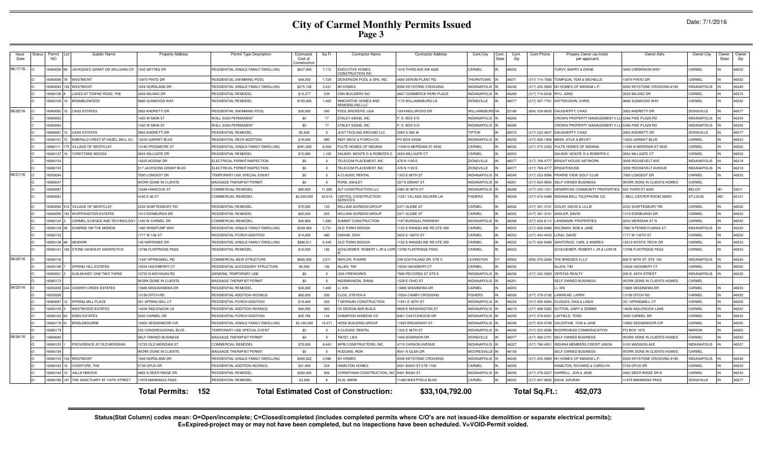|  | Date: 7/1/2016 |
|--|----------------|
|--|----------------|

| Issue<br>Date | Status | Permit<br><b>NO</b> | Subdiv Name                      | <b>Property Address</b> | Permit Type Description            | Estimated<br>Cost of<br>:onstructi | Sq Ft                   | <b>Contractor Name</b>                                                                                                           | <b>Contractor Address</b>       | Cont.City          | Cont.<br>State | Cont.<br>Zip | Cont.Phone     | Propety Owner (as listed<br>per applicant) | Owner Adrs                  | Owner City          | Owner<br>State | Owner<br>Zip |  |  |
|---------------|--------|---------------------|----------------------------------|-------------------------|------------------------------------|------------------------------------|-------------------------|----------------------------------------------------------------------------------------------------------------------------------|---------------------------------|--------------------|----------------|--------------|----------------|--------------------------------------------|-----------------------------|---------------------|----------------|--------------|--|--|
| 06/17/16      |        | 6060058 89          | JACKSON'S GRANT ON WILLIAMS CR   | 1242 SKYTAG DR          | RESIDENTIAL SINGLE FAMILY DWELLING | \$637,000                          | 7,113                   | <b>XECUTIVE HOMES</b><br>CONSTRUCTION INC                                                                                        | 1016 THIRD AVE SW #206          | CARMEL             | 46032          |              |                | TURVY, BARRY & DIANE                       | 3930 CARWINION WAY          | CARMEL              |                | 46032        |  |  |
|               |        | 16060088            | WESTMONT                         | 13979 PINTO DR          | RESIDENTIAL SWIMMING POOL          | \$49,500                           | 1.728                   | <b>ICKERSON POOL &amp; SPA. INC.</b>                                                                                             | 4585 SERUM PLANT RD             | <b>THORNTOWN</b>   | 46071          |              | 317) 714-7806  | TOMPSON. TOM & MICHELLE                    | 13979 PINTO DR              | CARMEL              |                | 46032        |  |  |
|               |        | 16060093            | 128 WESTMONT                     | 1654 NORDLAND DR        | RESIDENTIAL SINGLE FAMILY DWELLING | \$275,136                          | 3,241                   | M/I HOMES                                                                                                                        | 8500 KEYSTONE CROSSING          | NDIANAPOLIS        | 46240          |              | 317) 255-9900  | M/I HOMES OF INDIANA L.P.                  | 8500 KEYSTONE CROSSING #190 | <b>INDIANAPOLIS</b> |                | 46240        |  |  |
|               |        | 1606010             | LAKES AT TOWNE ROAD. THE         | 2628 MILANO DR          | <b>RESIDENTIAL REMODEL</b>         | \$13,377                           | 539                     | MH BUILDERS INC                                                                                                                  | <b>8847 COMMERCE PARK PLACE</b> | <b>NDIANAPOLIS</b> | 16268          |              | 317) 714-6536  | RYU. JONG                                  | 2628 MILANO DF              | <b>ARMEI</b>        |                | 46074        |  |  |
|               |        | 1606010             | <b>BRAMBLEWOOD</b>               | 9660 SUNWOOD WAY        | RESIDENTIAL REMODEL                | \$150,000                          | 1,450                   | NNOVATIVE HOMES AND<br><b>EMODELING LLC</b>                                                                                      | 1175 WILLIAMSBURG LN            | <b>ZIONSVILLE</b>  | 46077          |              | 317) 507-7761  | KATTERJOHN, CHRIS                          | 9660 SUNWOOD WAY            | CARMEL              |                | 46032        |  |  |
| 06/20/16      |        | 16060062            | <b>CASS ESTATES</b>              | 3952 ANDRETTI DF        | RESIDENTIAL SWIMMING POOL          | \$30,000                           | 595                     | OOL BROKERS, USA                                                                                                                 | 109 KNOLLWOOD DR                | <b>NILLIAMSBUR</b> | 23188          |              | 304) 339-6630  | <b>DAUGHERTY, CHAD</b>                     | 3952 ANDRETTI DR            | <b>ZIONSVILLE</b>   |                | 46077        |  |  |
|               |        | 16060063            |                                  | 1420 W MAIN ST          | <b>WALL SIGN PERMANENT</b>         | \$0                                | 77                      | TALEY SIGNS, INC.                                                                                                                | P.O. BOX 515                    | NDIANAPOLIS        | 16206          |              |                | CROWN PROPERTY MANAGEMENT II I             | 5346 PIKE PLAZA RD          | <b>INDIANAPOLIS</b> |                | 46254        |  |  |
|               |        | 16060064            |                                  | 1420 W MAIN ST          | WALL SIGN PERMANENT                | \$0                                | 77                      | <b>STALEY SIGNS, INC.</b>                                                                                                        | P.O. BOX 515                    | NDIANAPOLIS I      | 6206           |              |                | CROWN PROPERTY MANAGEMENT II I             | 5346 PIKE PLAZA RD          | <b>INDIANAPOLIS</b> |                | 46254        |  |  |
|               |        | 16060067            | <b>CASS ESTATES</b>              | 3952 ANDRETTI DR        | <b>RESIDENTIAL REMODEL</b>         | \$5,600                            | $\Omega$                | JUST TOOLING AROUND LLC                                                                                                          | 2083 S 900 W                    | <b>IPTON</b>       | 16072          |              | 317) 223-4647  | DAUGHERTY, CHAD                            | 3952 ANDRETTI DR            | <b>ZIONSVILLE</b>   |                | 46077        |  |  |
|               |        | 1606010             | EMERALD CREST AT HAZEL DELL SU   | 13233 GARNET BLVD       | RESIDENTIAL DECK ADDITION          | \$19,000                           | 480                     | INDY DECK & PORCH CO.                                                                                                            | PO BOX 50506                    | NDIANAPOLIS        | 6250           |              | 317) 826-1956  | MEEK, KYLE & BECKY                         | 13233 GARNET BLVD           | <b>ARMEI</b>        |                | 46033        |  |  |
|               |        | 1606011             | 5 VILLAGE OF WESTCLAY            | 13185 FROGMORE ST       | RESIDENTIAL SINGLE FAMILY DWELLING | \$481,000                          | 6,459                   | ULTE HOMES OF INDIANA                                                                                                            | 11590 N MERIDIAN ST #530        | CARMEL             | 46032          |              | 317) 575-2350  | PULTE HOMES OF INDIANA                     | 11590 N MERIDIAN ST #530    | CARMEL              |                | 46032        |  |  |
|               |        | 1606013             | YORKTOWN WOODS                   | 2654 MILLGATE DR        | <b>RESIDENTIAL REMODEL</b>         | \$15,000                           | 1,100                   | SALWAY, MONTE D & ROBERTA                                                                                                        | 2654 MILLGATE CT                | CARMEL             | 16033          |              |                | SALWAY, MONTE D & ROBERTA C                | 2654 MILLGATE CT            | CARMEL              |                | 46033        |  |  |
|               |        | 16060154            |                                  | 14225 KODIAK DE         | FLECTRICAL PERMIT/INSPECTION       | \$0                                | $\Omega$                | TELECOM PLACEMENT, INC                                                                                                           | 478 N 1100 E                    | <b>ZIONSVILLE</b>  | 46077          |              | (317) 769-4777 | <b>BRIGHT HOUSE NETWORK</b>                | 3030 ROOSEVELT AVE          | <b>INDIANAPOLIS</b> |                | 46218        |  |  |
|               |        | 16060155            |                                  | 517 JACKSONS GRANT BLVD | ELECTRICAL PERMIT/INSPECTION       | \$0                                | $\Omega$                | TELECOM PLACEMENT, INC                                                                                                           | 478 N 1100 E                    | <b>ZIONSVILLE</b>  | 46077          |              | (317) 769-4777 | <b>BRIGHTHOUSE</b>                         | 3030 ROOSEVELT AVENUE       | <b>INDIANAPOLIS</b> |                | 46218        |  |  |
| 06/21/16      |        | 1605008             |                                  | 7000 LONGEST DR         | TEMPORARY USE SPECIAL EVENT        | \$0                                | $\overline{\mathbf{0}}$ | A CLASSIC RENTAL                                                                                                                 | 1333 E 86TH ST                  | NDIANAPOLIS        | 46240          |              | 317) 253-0586  | PRAIRIE VIEW GOLF CLUB                     | 7000 LONGEST DR             | CARMEL              |                | 46033        |  |  |
|               |        | 16060047            |                                  | WORK DONE IN CLIENTS    | MASSAGE THERAPIST PERMIT           | \$0                                | $\Omega$                | FORD, ASHLEY                                                                                                                     | 327 N DENNY ST                  | <b>NDIANAPOLIS</b> | 16201          |              | 317) 653-9665  | <b>SELF OWNED BUSINESS</b>                 | WORK DONE IN CLIENTS HOMES  | CARMEL              |                |              |  |  |
|               |        | 1606008             |                                  | 12348 HANCOCK ST        | <b>COMMERCIAL REMODEI</b>          | \$85,000                           | 11,385                  | ALT CONSTRUCTION LLC                                                                                                             | 4365 W 96TH ST                  | <b>NDIANAPOLIS</b> | 46268          |              | 317) 253-125   | HENDRICKS COMMUNITY PROPERTIES             | 525 THIRD ST #300           | <b>BELOIT</b>       |                | 53511        |  |  |
|               |        | 1606009             |                                  | 4160 E 96 ST            | <b>COMMERCIAL REMODEL</b>          | \$2,500,000                        | 63,019                  | CAPITOL CONSTRUCTION<br><b>SERVICES</b>                                                                                          | 11051 VILLAGE SQUARE LN         | <b>ISHERS</b>      | 46038          |              | 317) 574-5488  | INDIANA BELL TELEPHONE CO                  | BELL CENTER ROOM 36M01      | <b>ST LOUIS</b>     | <b>MO</b>      | 63101        |  |  |
|               |        | 16060094            | <b>8 VILLAGE OF WESTCLAY</b>     | 2232 SHAFTESBURY RD     | <b>RESIDENTIAL REMODEL</b>         | \$70,000                           | 120                     | VILLIAM GORDON GROUP                                                                                                             | 2371 GLEBE ST                   | CARMEL             | 46032          |              | 317) 361-319   | <b>GOLAY, DAVID &amp; LILLIE</b>           | 2232 SHAFTESBURY RD         | CARMEL              |                | 46032        |  |  |
|               |        | 606009              | 33 WORTHINGTON ESTATES           | 1313 EDINBURGH DR       | RESIDENTIAL REMODEL                | \$20,000                           | 225                     | VILLIAM GORDON GROUP                                                                                                             | 2371 GLEBE ST                   | CARMEL             | 6032           |              | 317) 361-319   | SADLER, DAVID                              | <b>1313 EDINBURGH DR</b>    | CARMEL              |                | 46033        |  |  |
|               |        | 16060124            | CARMEL SCIENCE AND TECHNOLOGY    | 1185 W CARMEL DR        | COMMERCIAL REMODEL                 | \$36,900                           | 1.085                   | UMMIT CONSTRUCTION                                                                                                               | 107 BURDSAL PARKWAY             | NDIANAPOLI         | 16208          |              | 17) 634-61     | <b>LANDMARK PROPERTIES</b>                 | 9333 MERIDIAN ST N          | ARMEL               |                | 46032        |  |  |
|               |        | 16060129            | SUNRISE ON THE MONON             | 1482 WINDPUMP WAY       | RESIDENTIAL SINGLE FAMILY DWELLING | \$539,069                          | 5.731                   | <b>ILD TOWN DESIGN</b>                                                                                                           | 1132 S RANGELINE RD STE 200     | CARMEL             | 6032           |              | 17) 626-848    | WILDMAN, BOB & JANE                        | 7060 N PENNSYLVANIA ST      | NDIANAPOLIS         |                | 46220        |  |  |
|               |        | 16060132            |                                  | 1717 W 136 ST           | RESIDENTIAL PORCH ADDITION         | \$14,000                           | 480                     | WANK, DON                                                                                                                        | 8825 F 106TH ST                 | <b>ARMEL</b>       | 6033           |              | 317) 443-4433  | <b>ONG. DAVID</b>                          | 1717 W 136TH ST             | <b>ARMEL</b>        |                | 46032        |  |  |
|               |        | 16060138            | <b>NEWARK</b>                    | 145 NAPPANEE DR         | RESIDENTIAL SINGLE FAMILY DWELLING | \$886,011                          | 6.445                   | <b>OLD TOWN DESIGN</b>                                                                                                           | 1132 S RANGELINE RD STE 200     | <b>ARMEL</b>       | 16032          |              | 17) 626-848    | SANTORIUS, CARL & ANDREA                   | 15519 MYSTIC ROCK DF        | CARMEL              |                | 46033        |  |  |
|               |        | 16060141            | 69 STONE HAVEN AT HAVERSTICK     | 13788 FLINTRIDGE PASS   | RESIDENTIAL REMODEL                | \$10,000                           | 192                     | CHLOEMER, ROBERT L JR & LORI 13788 FLINTRIDGE PASS                                                                               |                                 | CARMEL             | 16033          |              |                | SCHLOEMER, ROBERT L JR & LORI M            | 13788 FLINTRIDGE PASS       | <b>CARMEL</b>       |                | 46033        |  |  |
| 06/22/16      |        | 16050118            |                                  | 11447 SPRINGMILL RD     | <b>COMMERCIAL NEW STRUCTURE</b>    | \$600,000                          | 2.011                   | NAYLOR, R MARK                                                                                                                   | 239 SOUTHLAND DR. STE C         | LEXINGTON          | 40503          |              |                | 859) 276-2006 THE BRIDGES II LLC           | 600 E 96TH ST, STE 150      | <b>INDIANAPOLIS</b> |                | 46240        |  |  |
|               |        | 16050198            | <b>SPRING HILL ESTATES</b>       | 10534 HACKBERRY CT      | RESIDENTIAL ACCESSORY STRUCTURE    | \$5,000                            | 192                     | ALLEN, TIM                                                                                                                       | 10534 HACKBERY CT               | CARMEL             | 16032          |              |                | ALLEN. TIM                                 | 10534 HACKBERY CT           | CARMEL              |                | 46032        |  |  |
|               |        | 1606000             | SUN MUNDY ONE TWO THREE          | 10725 N MICHIGAN RD     | <b>GENERAL TEMPORARY USE</b>       | \$0                                | $\Omega$                | <b>JSA FIREWORKS</b>                                                                                                             | 7800 RECORDS ST STE A           | <b>NDIANAPOLIS</b> | 46226          |              | 317) 352-5993  | <b>VERITAS REALTY</b>                      | 930 E. 66TH STREET          | <b>INDIANAPOLIS</b> |                | 46220        |  |  |
|               |        | 1606017             |                                  | WORK DONE IN CLIENTS    | MASSAGE THERAPIST PERMIT           | \$0                                | $\Omega$                | NGEMANSON, DIANA                                                                                                                 | 1528 E OHIO ST                  | NDIANAPOLIS        | 16201          |              |                | SELF OWNED BUSINESS                        | WORK DONE IN CLIENTS HOMES  | CARMEL              |                |              |  |  |
| 06/23/16      |        | 1605020             | 244 CHERRY CREEK ESTATES         | 13885 MISSISSNEWA DF    | <b>RESIDENTIAL REMODEL</b>         | \$30,000                           | 1.400                   | I. XIN                                                                                                                           | <b>13885 MISSINEWA DR</b>       | <b>ARMEL</b>       | 46033          |              |                | <b>II XIN</b>                              | 13885 MISSINEWA DR          | CARMEL              |                | 46033        |  |  |
|               |        | 1605020             |                                  | 13199 DITCH RD          | RESIDENTIAL ADDITION-ROOM(S        | \$60,000                           | 200                     | CLOS, STEVEN A                                                                                                                   | 10354 CAMBY CROSSING            | <b>ISHERS</b>      | 46038          |              | 317) 379-219   | AWHEAD, LARRY                              | 13199 DITCH RD              | CARMEL              |                | 46032        |  |  |
|               |        | 1606009             | SPRING MILL PLACE                | 351 SPRING MILL CT      | RESIDENTIAL PORCH ADDITION         | \$19,400                           | 352                     | MORGAN CONSTRUCTION                                                                                                              | 11951 E 30TH ST                 | NDIANAPOLIS        | 46229          |              | (317) 955-8984 | OLDIGES, DAN & LINDA                       | 351 SPRINGMILL CT           | CARMEL              |                | 46032        |  |  |
|               |        | 1606015             | <b>WESTWOOD ESTATES</b>          | 14036 INGLENOOK LN      | RESIDENTIAL ADDITION-ROOM(S        | \$40,000                           | 360                     | CK DESIGN AND BUILD                                                                                                              | 8809 E WASHINGTON ST            | NDIANAPOLIS        | 46219          |              | 317) 899-5282  | SUTTON, GARY & DEBBIE                      | 14036 INGLENOOK LANE        | CARMEL              |                | 46032        |  |  |
|               |        | 1606016             | <b>EDEN ESTATES</b>              | 3520 CARMEL DR          | <b>RESIDENTIAL PORCH ADDITION</b>  | \$20,786                           | 144                     | CHAMPION WINDOW CO                                                                                                               | 8461 CASTLEWOOD DF              | NDIANAPOLIS        | 46250          |              | 317) 579-6301  | <b>LAYFIFLD, TODD</b>                      | 3520 CARMEL DR              | CARMEL              |                | 46033        |  |  |
|               |        | 1606017             | <b>BRIDLEBOURNE</b>              | 10902 SEDGEMOOR CIR     | RESIDENTIAL SINGLE FAMILY DWELLING | \$3,100,000                        | 18,371                  | HOSS BUILDING GROUP                                                                                                              | 11825 BROADWAY ST               | NDIANAPOLIS        | 16236          |              | 317) 823-978   | SALENTINE, TOM & JANE                      | 10902 SEDGEMOOR CIF         | CARMEI              |                | 46032        |  |  |
|               |        | 1606017             |                                  | 525 CONGRESSIONAL BLVD  | TEMPORARY USE SPECIAL EVENT        | \$0                                |                         | A CLASSIC RENTAI                                                                                                                 | 1333 E 86TH ST                  | <b>NDIANAPOLIS</b> | 16240          |              | 317) 253-058   | MOOREHEAD COMMUNICATION                    | PO BOX 1870                 | <b>MARION</b>       |                | 46952        |  |  |
| 06/24/16      |        | 1406009             |                                  | SELF OWNED BUSINESS     | MASSAGE THERAPIST PERMIT           | \$0                                | $\Omega$                | WIST, LISA                                                                                                                       | <b>1449 DOMINION DR</b>         | <b>ZIONSVILLE</b>  | 16077          |              | 317) 400-270   | SELF OWNED BUSINESS                        | WORK DONE IN CLIENTS HOMES  | <b>ARMEL</b>        |                | 46032        |  |  |
|               |        | 1606012             | PROVIDENCE AT OLD MERIDIAN       | 12725 OLD MERIDIAN ST   | <b>COMMERCIAL REMODEL</b>          | \$70,000                           | 8.443                   | WPB CONSTRUCTORS, INC.                                                                                                           | 4710 CARSON AVENUE              | <b>NDIANAPOLIS</b> | 46227          |              | 317) 786-452   | INDIANA MEMBERS CREDIT UNION               | 5103 MADISON AVE            | <b>NDAINAPOLIS</b>  |                | 46227        |  |  |
|               |        | 1606013             |                                  | WORK DONE IN CLIENTS    | MASSAGE THERAPIST PERMIT           | \$0                                |                         | <b>IUDGINS, RON</b>                                                                                                              | 9541 N GLEN DR                  | <b>MOORESVILLE</b> | 16158          |              |                | SELF OWNED BUSINESS                        | WORK DONE IN CLIENTS HOMES  | ARMEL               |                |              |  |  |
|               |        | 16060153            | 29 WESTMONT                      | 1648 NORDLAND DR        | RESIDENTIAL SINGLE FAMILY DWELLING | \$300,022                          | 3,586                   | M/I HOMES                                                                                                                        | 8500 KEYSTONE CROSSING          | NDIANAPOLIS        | 16240          |              | 317) 255-9900  | M/I HOMES OF INDIANA L.P.                  | 8500 KEYSTONE CROSSING #190 | NDIANAPOLIS         |                | 46240        |  |  |
|               |        | 1606016             | OVERTURE, THE                    | 5739 OPUS DR            | RESIDENTIAL ADDITION-ROOM(S        | \$31,069                           | 224                     | <b>AMILTON HOMES</b>                                                                                                             | 8501 BASH ST STE 1100           | CARMEL             | 6250           |              |                | HAMILTON, RICHARD & CAROLYN                | 5739 OPUS DR                | ARMEL               |                | 46033        |  |  |
|               |        | 1606016             | VALLEYBROOK                      | 4952 N DEER RIDGE DR    | <b>RESIDENTIAL REMODEL</b>         | \$200,000                          | 936                     | ORINTHIAN CONSTRUCTION,                                                                                                          | 8481 BASH ST                    | <b>NDIANAPOLIS</b> | 16250          |              | 317) 578-0237  | HARRELL, JON & JANE                        | 4952 DEER RIDGE DR N        | CARMEL              |                | 46033        |  |  |
|               |        | 606016              | 87 THE SANCTUARY AT 116TH STREET | 11979 MANNINGS PASS     | RESIDENTIAL REMODEL                | \$3,000                            | 6                       | <b>JLIS, MARK</b>                                                                                                                | 11460 WESTFIELD BLVD            | CARMEL             | 16032          |              |                |                                            | 11979 MANNINGS PASS         | <b>IONSVILLE</b>    |                | 46077        |  |  |
|               |        |                     |                                  | Total Permits:          |                                    |                                    |                         | 317) 847-9602 SAHA, SOURAV<br>\$33,104,792.00<br>Total Sq.Ft.:<br>452,073<br>152<br><b>Total Estimated Cost of Construction:</b> |                                 |                    |                |              |                |                                            |                             |                     |                |              |  |  |